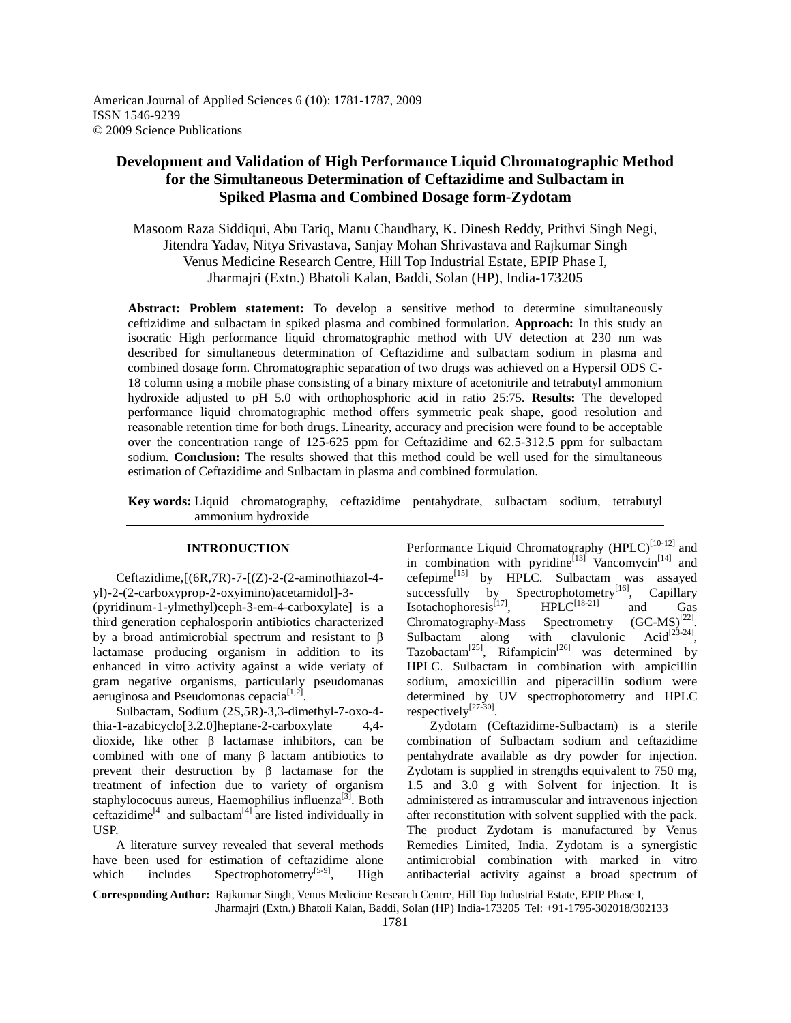# **Development and Validation of High Performance Liquid Chromatographic Method for the Simultaneous Determination of Ceftazidime and Sulbactam in Spiked Plasma and Combined Dosage form-Zydotam**

Masoom Raza Siddiqui, Abu Tariq, Manu Chaudhary, K. Dinesh Reddy, Prithvi Singh Negi, Jitendra Yadav, Nitya Srivastava, Sanjay Mohan Shrivastava and Rajkumar Singh Venus Medicine Research Centre, Hill Top Industrial Estate, EPIP Phase I, Jharmajri (Extn.) Bhatoli Kalan, Baddi, Solan (HP), India-173205

**Abstract: Problem statement:** To develop a sensitive method to determine simultaneously ceftizidime and sulbactam in spiked plasma and combined formulation. **Approach:** In this study an isocratic High performance liquid chromatographic method with UV detection at 230 nm was described for simultaneous determination of Ceftazidime and sulbactam sodium in plasma and combined dosage form. Chromatographic separation of two drugs was achieved on a Hypersil ODS C-18 column using a mobile phase consisting of a binary mixture of acetonitrile and tetrabutyl ammonium hydroxide adjusted to pH 5.0 with orthophosphoric acid in ratio 25:75. **Results:** The developed performance liquid chromatographic method offers symmetric peak shape, good resolution and reasonable retention time for both drugs. Linearity, accuracy and precision were found to be acceptable over the concentration range of 125-625 ppm for Ceftazidime and 62.5-312.5 ppm for sulbactam sodium. **Conclusion:** The results showed that this method could be well used for the simultaneous estimation of Ceftazidime and Sulbactam in plasma and combined formulation.

**Key words:** Liquid chromatography, ceftazidime pentahydrate, sulbactam sodium, tetrabutyl ammonium hydroxide

# **INTRODUCTION**

Ceftazidime, $[(6R,7R)-7-[(Z)-2-(2-aminothiazo1-4$ yl)-2-(2-carboxyprop-2-oxyimino)acetamidol]-3-

(pyridinum-1-ylmethyl)ceph-3-em-4-carboxylate] is a third generation cephalosporin antibiotics characterized by a broad antimicrobial spectrum and resistant to β lactamase producing organism in addition to its enhanced in vitro activity against a wide veriaty of gram negative organisms, particularly pseudomanas aeruginosa and Pseudomonas cepacia $[1,2]$ .

 Sulbactam, Sodium (2S,5R)-3,3-dimethyl-7-oxo-4 thia-1-azabicyclo[3.2.0]heptane-2-carboxylate 4,4 dioxide, like other β lactamase inhibitors, can be combined with one of many β lactam antibiotics to prevent their destruction by β lactamase for the treatment of infection due to variety of organism staphylococuus aureus, Haemophilius influenza $[3]$ . Both ceftazidime<sup>[4]</sup> and sulbactam<sup>[4]</sup> are listed individually in USP.

 A literature survey revealed that several methods have been used for estimation of ceftazidime alone which includes Spectrophotometry<sup>[5-9]</sup>, High Performance Liquid Chromatography  $(HPLC)^{[10-12]}$  and in combination with pyridine<sup>[13]</sup> Vancomycin<sup>[14]</sup> and cefepime<sup>[15]</sup> by HPLC. Sulbactam was assayed successfully by Spectrophotometry<sup>[16]</sup>, Capillary Isotachophoresis<sup>[17]</sup>,  $HPLC^{[18-21]}$  and Gas Chromatography-Mass Spectrometry  $(GC-MS)^{[22]}$ . Sulbactam along with clavulonic Acid<sup>[23-24]</sup>. Tazobactam<sup>[25]</sup>, Rifampicin<sup>[26]</sup> was determined by HPLC. Sulbactam in combination with ampicillin sodium, amoxicillin and piperacillin sodium were determined by UV spectrophotometry and HPLC respectively<sup>[27-30]</sup>.

 Zydotam (Ceftazidime-Sulbactam) is a sterile combination of Sulbactam sodium and ceftazidime pentahydrate available as dry powder for injection. Zydotam is supplied in strengths equivalent to 750 mg, 1.5 and 3.0 g with Solvent for injection. It is administered as intramuscular and intravenous injection after reconstitution with solvent supplied with the pack. The product Zydotam is manufactured by Venus Remedies Limited, India. Zydotam is a synergistic antimicrobial combination with marked in vitro antibacterial activity against a broad spectrum of

**Corresponding Author:** Rajkumar Singh, Venus Medicine Research Centre, Hill Top Industrial Estate, EPIP Phase I, Jharmajri (Extn.) Bhatoli Kalan, Baddi, Solan (HP) India-173205 Tel: +91-1795-302018/302133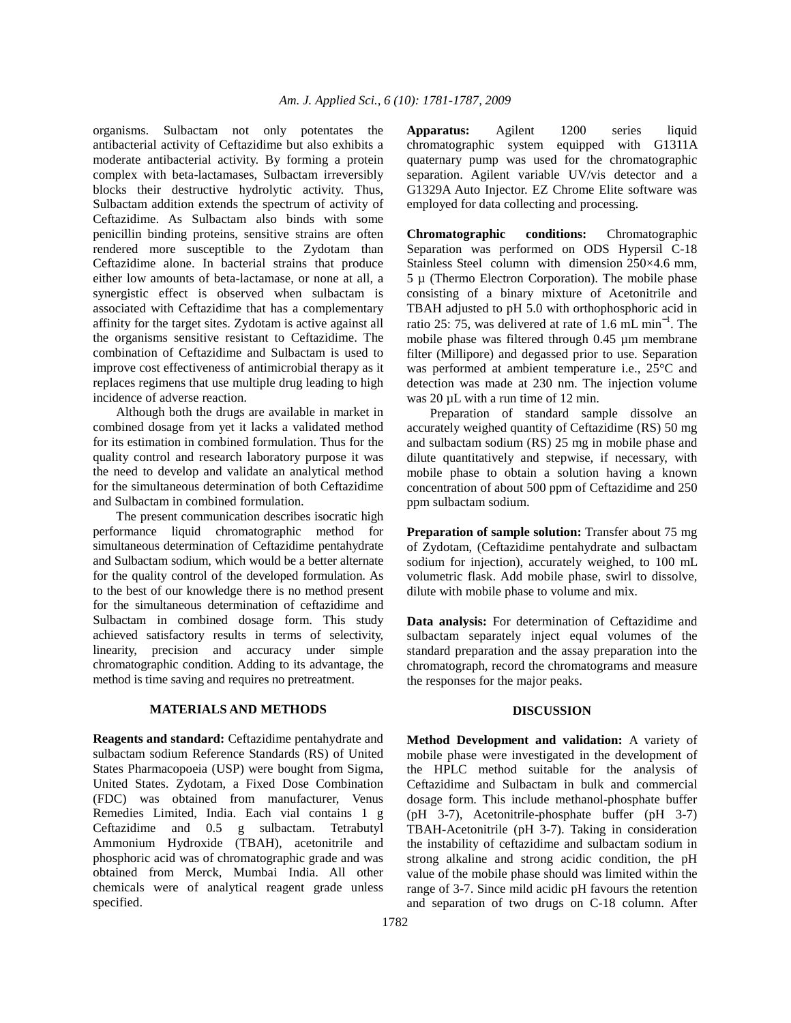organisms. Sulbactam not only potentates the antibacterial activity of Ceftazidime but also exhibits a moderate antibacterial activity. By forming a protein complex with beta-lactamases, Sulbactam irreversibly blocks their destructive hydrolytic activity. Thus, Sulbactam addition extends the spectrum of activity of Ceftazidime. As Sulbactam also binds with some penicillin binding proteins, sensitive strains are often rendered more susceptible to the Zydotam than Ceftazidime alone. In bacterial strains that produce either low amounts of beta-lactamase, or none at all, a synergistic effect is observed when sulbactam is associated with Ceftazidime that has a complementary affinity for the target sites. Zydotam is active against all the organisms sensitive resistant to Ceftazidime. The combination of Ceftazidime and Sulbactam is used to improve cost effectiveness of antimicrobial therapy as it replaces regimens that use multiple drug leading to high incidence of adverse reaction.

 Although both the drugs are available in market in combined dosage from yet it lacks a validated method for its estimation in combined formulation. Thus for the quality control and research laboratory purpose it was the need to develop and validate an analytical method for the simultaneous determination of both Ceftazidime and Sulbactam in combined formulation.

 The present communication describes isocratic high performance liquid chromatographic method for simultaneous determination of Ceftazidime pentahydrate and Sulbactam sodium, which would be a better alternate for the quality control of the developed formulation. As to the best of our knowledge there is no method present for the simultaneous determination of ceftazidime and Sulbactam in combined dosage form. This study achieved satisfactory results in terms of selectivity, linearity, precision and accuracy under simple chromatographic condition. Adding to its advantage, the method is time saving and requires no pretreatment.

# **MATERIALS AND METHODS**

**Reagents and standard:** Ceftazidime pentahydrate and sulbactam sodium Reference Standards (RS) of United States Pharmacopoeia (USP) were bought from Sigma, United States. Zydotam, a Fixed Dose Combination (FDC) was obtained from manufacturer, Venus Remedies Limited, India. Each vial contains 1 g Ceftazidime and 0.5 g sulbactam. Tetrabutyl Ammonium Hydroxide (TBAH), acetonitrile and phosphoric acid was of chromatographic grade and was obtained from Merck, Mumbai India. All other chemicals were of analytical reagent grade unless specified.

**Apparatus:** Agilent 1200 series liquid chromatographic system equipped with G1311A quaternary pump was used for the chromatographic separation. Agilent variable UV/vis detector and a G1329A Auto Injector. EZ Chrome Elite software was employed for data collecting and processing.

**Chromatographic conditions:** Chromatographic Separation was performed on ODS Hypersil C-18 Stainless Steel column with dimension 250×4.6 mm, 5 µ (Thermo Electron Corporation). The mobile phase consisting of a binary mixture of Acetonitrile and TBAH adjusted to pH 5.0 with orthophosphoric acid in ratio 25: 75, was delivered at rate of 1.6 mL min<sup>−</sup><sup>1</sup> . The mobile phase was filtered through 0.45 µm membrane filter (Millipore) and degassed prior to use. Separation was performed at ambient temperature i.e., 25°C and detection was made at 230 nm. The injection volume was 20  $\mu$ L with a run time of 12 min.

 Preparation of standard sample dissolve an accurately weighed quantity of Ceftazidime (RS) 50 mg and sulbactam sodium (RS) 25 mg in mobile phase and dilute quantitatively and stepwise, if necessary, with mobile phase to obtain a solution having a known concentration of about 500 ppm of Ceftazidime and 250 ppm sulbactam sodium.

**Preparation of sample solution:** Transfer about 75 mg of Zydotam, (Ceftazidime pentahydrate and sulbactam sodium for injection), accurately weighed, to 100 mL volumetric flask. Add mobile phase, swirl to dissolve, dilute with mobile phase to volume and mix.

**Data analysis:** For determination of Ceftazidime and sulbactam separately inject equal volumes of the standard preparation and the assay preparation into the chromatograph, record the chromatograms and measure the responses for the major peaks.

# **DISCUSSION**

**Method Development and validation:** A variety of mobile phase were investigated in the development of the HPLC method suitable for the analysis of Ceftazidime and Sulbactam in bulk and commercial dosage form. This include methanol-phosphate buffer (pH 3-7), Acetonitrile-phosphate buffer (pH 3-7) TBAH-Acetonitrile (pH 3-7). Taking in consideration the instability of ceftazidime and sulbactam sodium in strong alkaline and strong acidic condition, the pH value of the mobile phase should was limited within the range of 3-7. Since mild acidic pH favours the retention and separation of two drugs on C-18 column. After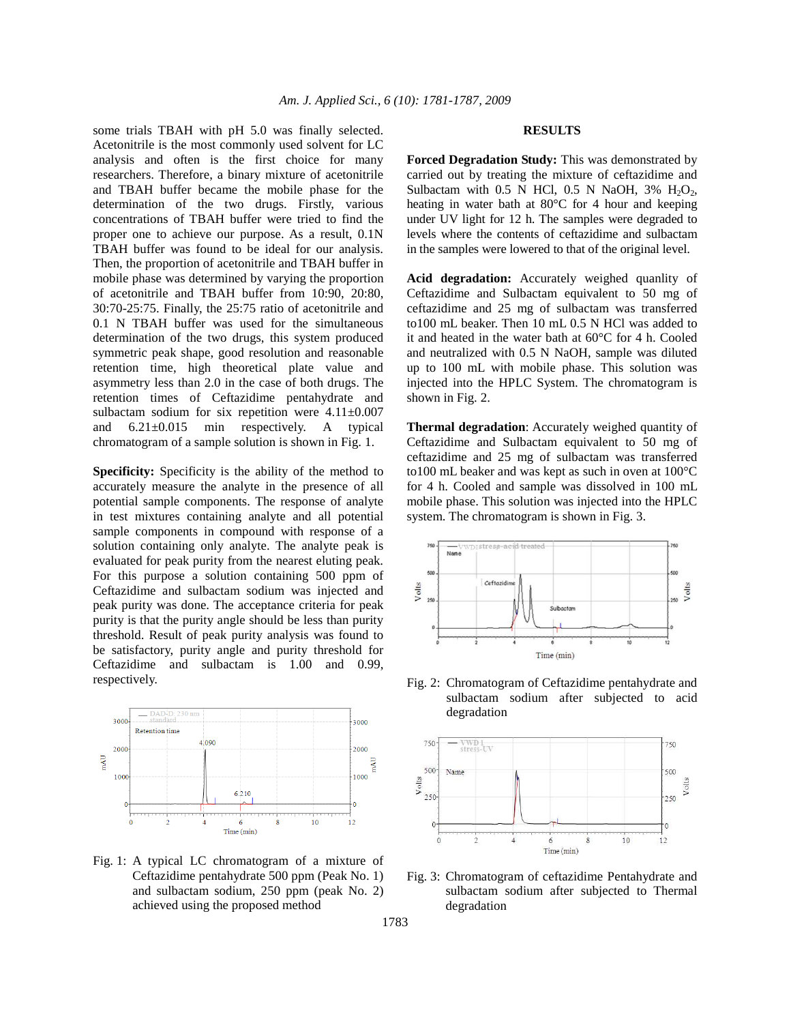some trials TBAH with pH 5.0 was finally selected. Acetonitrile is the most commonly used solvent for LC analysis and often is the first choice for many researchers. Therefore, a binary mixture of acetonitrile and TBAH buffer became the mobile phase for the determination of the two drugs. Firstly, various concentrations of TBAH buffer were tried to find the proper one to achieve our purpose. As a result, 0.1N TBAH buffer was found to be ideal for our analysis. Then, the proportion of acetonitrile and TBAH buffer in mobile phase was determined by varying the proportion of acetonitrile and TBAH buffer from 10:90, 20:80, 30:70-25:75. Finally, the 25:75 ratio of acetonitrile and 0.1 N TBAH buffer was used for the simultaneous determination of the two drugs, this system produced symmetric peak shape, good resolution and reasonable retention time, high theoretical plate value and asymmetry less than 2.0 in the case of both drugs. The retention times of Ceftazidime pentahydrate and sulbactam sodium for six repetition were  $4.11 \pm 0.007$ and 6.21±0.015 min respectively. A typical chromatogram of a sample solution is shown in Fig. 1.

**Specificity:** Specificity is the ability of the method to accurately measure the analyte in the presence of all potential sample components. The response of analyte in test mixtures containing analyte and all potential sample components in compound with response of a solution containing only analyte. The analyte peak is evaluated for peak purity from the nearest eluting peak. For this purpose a solution containing 500 ppm of Ceftazidime and sulbactam sodium was injected and peak purity was done. The acceptance criteria for peak purity is that the purity angle should be less than purity threshold. Result of peak purity analysis was found to be satisfactory, purity angle and purity threshold for Ceftazidime and sulbactam is 1.00 and 0.99, respectively.



Fig. 1: A typical LC chromatogram of a mixture of Ceftazidime pentahydrate 500 ppm (Peak No. 1) and sulbactam sodium, 250 ppm (peak No. 2) achieved using the proposed method

## **RESULTS**

**Forced Degradation Study:** This was demonstrated by carried out by treating the mixture of ceftazidime and Sulbactam with 0.5 N HCl, 0.5 N NaOH, 3%  $H_2O_2$ , heating in water bath at 80°C for 4 hour and keeping under UV light for 12 h. The samples were degraded to levels where the contents of ceftazidime and sulbactam in the samples were lowered to that of the original level.

**Acid degradation:** Accurately weighed quanlity of Ceftazidime and Sulbactam equivalent to 50 mg of ceftazidime and 25 mg of sulbactam was transferred to100 mL beaker. Then 10 mL 0.5 N HCl was added to it and heated in the water bath at 60°C for 4 h. Cooled and neutralized with 0.5 N NaOH, sample was diluted up to 100 mL with mobile phase. This solution was injected into the HPLC System. The chromatogram is shown in Fig. 2.

**Thermal degradation**: Accurately weighed quantity of Ceftazidime and Sulbactam equivalent to 50 mg of ceftazidime and 25 mg of sulbactam was transferred to100 mL beaker and was kept as such in oven at 100°C for 4 h. Cooled and sample was dissolved in 100 mL mobile phase. This solution was injected into the HPLC system. The chromatogram is shown in Fig. 3.



Fig. 2: Chromatogram of Ceftazidime pentahydrate and sulbactam sodium after subjected to acid degradation



Fig. 3: Chromatogram of ceftazidime Pentahydrate and sulbactam sodium after subjected to Thermal degradation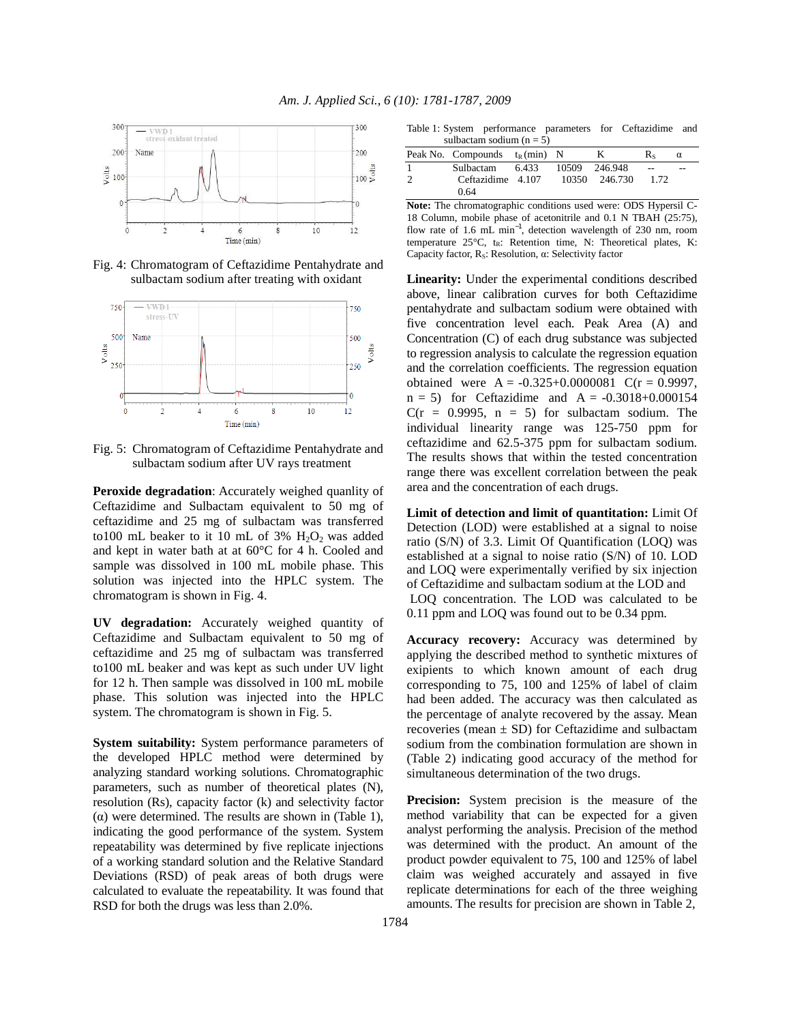

Fig. 4: Chromatogram of Ceftazidime Pentahydrate and sulbactam sodium after treating with oxidant



Fig. 5: Chromatogram of Ceftazidime Pentahydrate and sulbactam sodium after UV rays treatment

**Peroxide degradation**: Accurately weighed quanlity of Ceftazidime and Sulbactam equivalent to 50 mg of ceftazidime and 25 mg of sulbactam was transferred to100 mL beaker to it 10 mL of 3%  $H_2O_2$  was added and kept in water bath at at 60°C for 4 h. Cooled and sample was dissolved in 100 mL mobile phase. This solution was injected into the HPLC system. The chromatogram is shown in Fig. 4.

**UV degradation:** Accurately weighed quantity of Ceftazidime and Sulbactam equivalent to 50 mg of ceftazidime and 25 mg of sulbactam was transferred to100 mL beaker and was kept as such under UV light for 12 h. Then sample was dissolved in 100 mL mobile phase. This solution was injected into the HPLC system. The chromatogram is shown in Fig. 5.

**System suitability:** System performance parameters of the developed HPLC method were determined by analyzing standard working solutions. Chromatographic parameters, such as number of theoretical plates (N), resolution (Rs), capacity factor (k) and selectivity factor (α) were determined. The results are shown in (Table 1), indicating the good performance of the system. System repeatability was determined by five replicate injections of a working standard solution and the Relative Standard Deviations (RSD) of peak areas of both drugs were calculated to evaluate the repeatability. It was found that RSD for both the drugs was less than 2.0%.

Table 1: System performance parameters for Ceftazidime and  $\cos \theta$  sodium (n =  $5$ )

| suivactain souluin $(II - J)$ |                                  |       |       |               |      |   |
|-------------------------------|----------------------------------|-------|-------|---------------|------|---|
|                               | Peak No. Compounds $t_R$ (min) N |       |       | к             | Rs   | α |
|                               | Sulbactam                        | 6.433 |       | 10509 246.948 | $-$  |   |
|                               | Ceftazidime 4.107                |       | 10350 | 246.730       | 1.72 |   |
|                               | 0.64                             |       |       |               |      |   |

**Note:** The chromatographic conditions used were: ODS Hypersil C-18 Column, mobile phase of acetonitrile and 0.1 N TBAH (25:75), flow rate of 1.6 mL min−1, detection wavelength of 230 nm, room temperature 25°C, t<sub>R</sub>: Retention time, N: Theoretical plates, K: Capacity factor, RS: Resolution, α: Selectivity factor

**Linearity:** Under the experimental conditions described above, linear calibration curves for both Ceftazidime pentahydrate and sulbactam sodium were obtained with five concentration level each. Peak Area (A) and Concentration (C) of each drug substance was subjected to regression analysis to calculate the regression equation and the correlation coefficients. The regression equation obtained were  $A = -0.325+0.0000081$  C(r = 0.9997,  $n = 5$ ) for Ceftazidime and  $A = -0.3018 + 0.000154$  $C(r = 0.9995, n = 5)$  for sulbactam sodium. The individual linearity range was 125-750 ppm for ceftazidime and 62.5-375 ppm for sulbactam sodium. The results shows that within the tested concentration range there was excellent correlation between the peak area and the concentration of each drugs.

**Limit of detection and limit of quantitation:** Limit Of Detection (LOD) were established at a signal to noise ratio (S/N) of 3.3. Limit Of Quantification (LOQ) was established at a signal to noise ratio (S/N) of 10. LOD and LOQ were experimentally verified by six injection of Ceftazidime and sulbactam sodium at the LOD and LOQ concentration. The LOD was calculated to be 0.11 ppm and LOQ was found out to be 0.34 ppm.

**Accuracy recovery:** Accuracy was determined by applying the described method to synthetic mixtures of exipients to which known amount of each drug corresponding to 75, 100 and 125% of label of claim had been added. The accuracy was then calculated as the percentage of analyte recovered by the assay. Mean recoveries (mean  $\pm$  SD) for Ceftazidime and sulbactam sodium from the combination formulation are shown in (Table 2) indicating good accuracy of the method for simultaneous determination of the two drugs.

**Precision:** System precision is the measure of the method variability that can be expected for a given analyst performing the analysis. Precision of the method was determined with the product. An amount of the product powder equivalent to 75, 100 and 125% of label claim was weighed accurately and assayed in five replicate determinations for each of the three weighing amounts. The results for precision are shown in Table 2,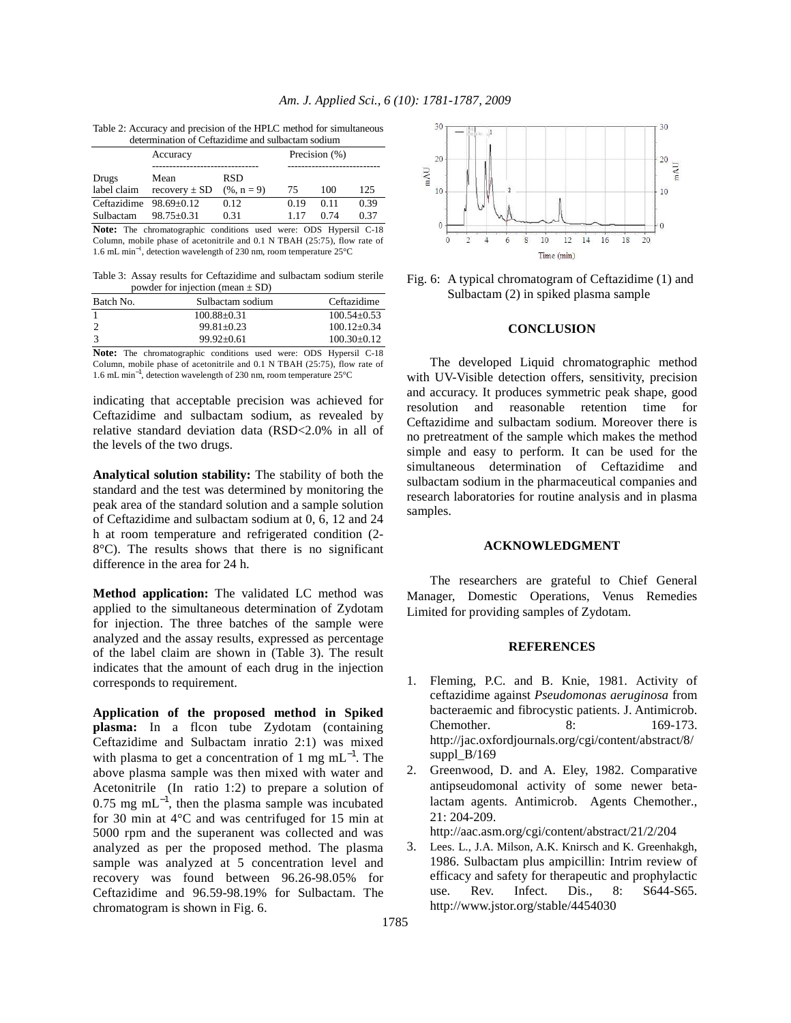| Table 2: Accuracy and precision of the HPLC method for simultaneous |
|---------------------------------------------------------------------|
| determination of Ceftazidime and sulbactam sodium                   |

| actemmunitym or comenantino unu sunsucum sounum |                   |                                                                          |               |      |      |  |
|-------------------------------------------------|-------------------|--------------------------------------------------------------------------|---------------|------|------|--|
|                                                 | Accuracy          |                                                                          | Precision (%) |      |      |  |
|                                                 |                   |                                                                          |               |      |      |  |
| Drugs                                           | Mean              | RSD                                                                      |               |      |      |  |
| label claim                                     | recovery $\pm$ SD | $(% n = 9)$                                                              | 75            | 100  | 125  |  |
| Ceftazidime $98.69 \pm 0.12$                    |                   | 0.12                                                                     | 0.19          | 0.11 | 0.39 |  |
| Sulbactam                                       | $98.75 + 0.31$    | 0.31                                                                     | 1.17          | 0.74 | 0.37 |  |
|                                                 |                   | <b>Note:</b> The chromatographic conditions used were: ODS Hypersil C-18 |               |      |      |  |

Column, mobile phase of acetonitrile and 0.1 N TBAH (25:75), flow rate of 1.6 mL min<sup>−</sup><sup>1</sup> , detection wavelength of 230 nm, room temperature 25°C

Table 3: Assay results for Ceftazidime and sulbactam sodium sterile powder for injection (mean  $\pm$  SD)

| Batch No.                     | Sulbactam sodium  | Ceftazidime                                                |
|-------------------------------|-------------------|------------------------------------------------------------|
|                               | $100.88 \pm 0.31$ | $100.54 + 0.53$                                            |
|                               | $99.81 + 0.23$    | $100.12 + 0.34$                                            |
| 3                             | $99.92 + 0.61$    | $100.30 + 0.12$                                            |
| $\mathbf{M}$ and $\mathbf{M}$ |                   | $\sim$ $\sim$ $\sim$ $\sim$ $\sim$<br>$\sim$ $\sim$ $\sim$ |

**Note:** The chromatographic conditions used were: ODS Hypersil C-18 Column, mobile phase of acetonitrile and 0.1 N TBAH (25:75), flow rate of 1.6 mL min−1, detection wavelength of 230 nm, room temperature 25°C

indicating that acceptable precision was achieved for Ceftazidime and sulbactam sodium, as revealed by relative standard deviation data (RSD<2.0% in all of the levels of the two drugs.

**Analytical solution stability:** The stability of both the standard and the test was determined by monitoring the peak area of the standard solution and a sample solution of Ceftazidime and sulbactam sodium at 0, 6, 12 and 24 h at room temperature and refrigerated condition (2- 8°C). The results shows that there is no significant difference in the area for 24 h.

**Method application:** The validated LC method was applied to the simultaneous determination of Zydotam for injection. The three batches of the sample were analyzed and the assay results, expressed as percentage of the label claim are shown in (Table 3). The result indicates that the amount of each drug in the injection corresponds to requirement.

**Application of the proposed method in Spiked plasma:** In a flcon tube Zydotam (containing Ceftazidime and Sulbactam inratio 2:1) was mixed with plasma to get a concentration of 1 mg mL<sup> $-1$ </sup>. The above plasma sample was then mixed with water and Acetonitrile (In ratio 1:2) to prepare a solution of  $0.75$  mg mL<sup>-1</sup>, then the plasma sample was incubated for 30 min at 4°C and was centrifuged for 15 min at 5000 rpm and the superanent was collected and was analyzed as per the proposed method. The plasma sample was analyzed at 5 concentration level and recovery was found between 96.26-98.05% for Ceftazidime and 96.59-98.19% for Sulbactam. The chromatogram is shown in Fig. 6.



Fig. 6: A typical chromatogram of Ceftazidime (1) and Sulbactam (2) in spiked plasma sample

# **CONCLUSION**

 The developed Liquid chromatographic method with UV-Visible detection offers, sensitivity, precision and accuracy. It produces symmetric peak shape, good resolution and reasonable retention time for Ceftazidime and sulbactam sodium. Moreover there is no pretreatment of the sample which makes the method simple and easy to perform. It can be used for the simultaneous determination of Ceftazidime and sulbactam sodium in the pharmaceutical companies and research laboratories for routine analysis and in plasma samples.

#### **ACKNOWLEDGMENT**

 The researchers are grateful to Chief General Manager, Domestic Operations, Venus Remedies Limited for providing samples of Zydotam.

# **REFERENCES**

- 1. Fleming, P.C. and B. Knie, 1981. Activity of ceftazidime against *Pseudomonas aeruginosa* from bacteraemic and fibrocystic patients. J. Antimicrob. Chemother. 8: 169-173. http://jac.oxfordjournals.org/cgi/content/abstract/8/ suppl\_B/169
- 2. Greenwood, D. and A. Eley, 1982. Comparative antipseudomonal activity of some newer betalactam agents. Antimicrob. Agents Chemother., 21: 204-209.

http://aac.asm.org/cgi/content/abstract/21/2/204

3. Lees. L., J.A. Milson, A.K. Knirsch and K. Greenhakgh, 1986. Sulbactam plus ampicillin: Intrim review of efficacy and safety for therapeutic and prophylactic use. Rev. Infect. Dis., 8: S644-S65. http://www.jstor.org/stable/4454030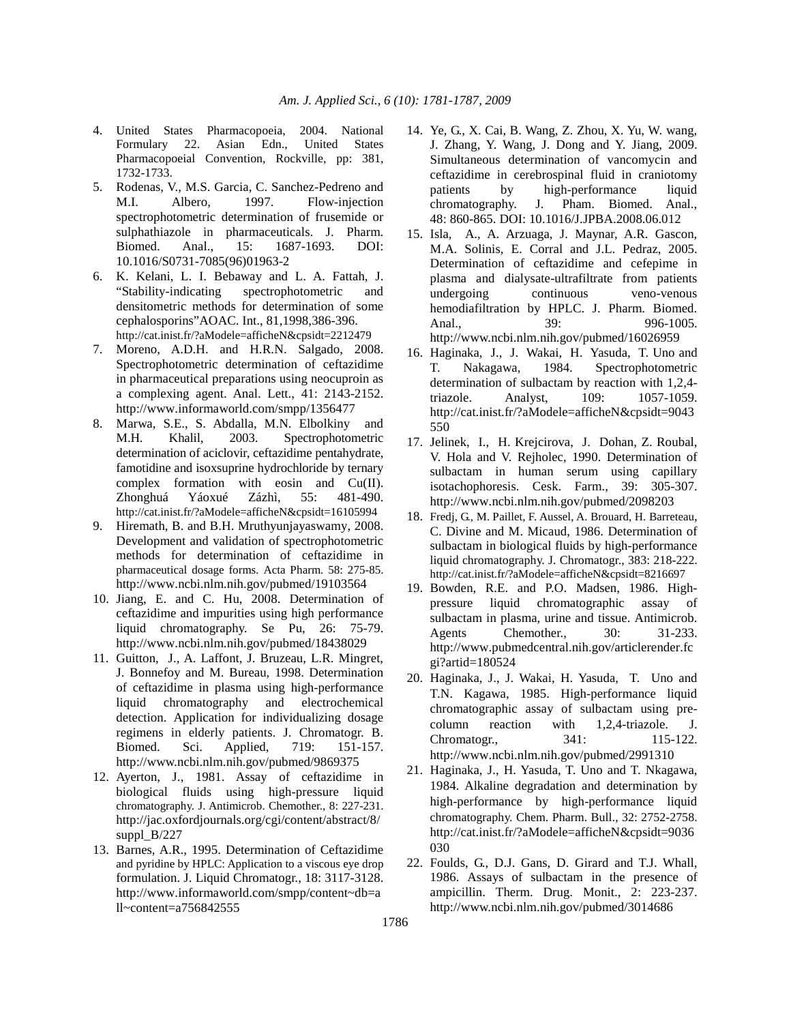- 4. United States Pharmacopoeia, 2004. National Formulary 22. Asian Edn., United States Pharmacopoeial Convention, Rockville, pp: 381, 1732-1733.
- 5. Rodenas, V., M.S. Garcia, C. Sanchez-Pedreno and M.I. Albero, 1997. Flow-injection spectrophotometric determination of frusemide or sulphathiazole in pharmaceuticals. J. Pharm. Biomed. Anal., 15: 1687-1693. DOI: 10.1016/S0731-7085(96)01963-2
- 6. K. Kelani, L. I. Bebaway and L. A. Fattah, J. "Stability-indicating spectrophotometric and densitometric methods for determination of some cephalosporins"AOAC. Int., 81,1998,386-396. http://cat.inist.fr/?aModele=afficheN&cpsidt=2212479
- 7. Moreno, A.D.H. and H.R.N. Salgado, 2008. Spectrophotometric determination of ceftazidime in pharmaceutical preparations using neocuproin as a complexing agent. Anal. Lett., 41: 2143-2152. http://www.informaworld.com/smpp/1356477
- 8. Marwa, S.E., S. Abdalla, M.N. Elbolkiny and M.H. Khalil, 2003. Spectrophotometric determination of aciclovir, ceftazidime pentahydrate, famotidine and isoxsuprine hydrochloride by ternary complex formation with eosin and Cu(II). Zhonghuá Yáoxué Zázhì, 55: 481-490. http://cat.inist.fr/?aModele=afficheN&cpsidt=16105994
- 9. Hiremath, B. and B.H. Mruthyunjayaswamy, 2008. Development and validation of spectrophotometric methods for determination of ceftazidime in pharmaceutical dosage forms. Acta Pharm. 58: 275-85. http://www.ncbi.nlm.nih.gov/pubmed/19103564
- 10. Jiang, E. and C. Hu, 2008. Determination of ceftazidime and impurities using high performance liquid chromatography. Se Pu, 26: 75-79. http://www.ncbi.nlm.nih.gov/pubmed/18438029
- 11. Guitton, J., A. Laffont, J. Bruzeau, L.R. Mingret, J. Bonnefoy and M. Bureau, 1998. Determination of ceftazidime in plasma using high-performance liquid chromatography and electrochemical detection. Application for individualizing dosage regimens in elderly patients. J. Chromatogr. B. Biomed. Sci. Applied, 719: 151-157. http://www.ncbi.nlm.nih.gov/pubmed/9869375
- 12. Ayerton, J., 1981. Assay of ceftazidime in biological fluids using high-pressure liquid chromatography. J. Antimicrob. Chemother., 8: 227-231. http://jac.oxfordjournals.org/cgi/content/abstract/8/ suppl B/227
- 13. Barnes, A.R., 1995. Determination of Ceftazidime and pyridine by HPLC: Application to a viscous eye drop formulation. J. Liquid Chromatogr., 18: 3117-3128. http://www.informaworld.com/smpp/content~db=a ll~content=a756842555
- 14. Ye, G., X. Cai, B. Wang, Z. Zhou, X. Yu, W. wang, J. Zhang, Y. Wang, J. Dong and Y. Jiang, 2009. Simultaneous determination of vancomycin and ceftazidime in cerebrospinal fluid in craniotomy patients by high-performance liquid chromatography. J. Pham. Biomed. Anal., 48: 860-865. DOI: 10.1016/J.JPBA.2008.06.012
- 15. Isla, A., A. Arzuaga, J. Maynar, A.R. Gascon, M.A. Solinis, E. Corral and J.L. Pedraz, 2005. Determination of ceftazidime and cefepime in plasma and dialysate-ultrafiltrate from patients undergoing continuous veno-venous hemodiafiltration by HPLC. J. Pharm. Biomed. Anal., 39: 996-1005. http://www.ncbi.nlm.nih.gov/pubmed/16026959
- 16. Haginaka, J., J. Wakai, H. Yasuda, T. Uno and T. Nakagawa, 1984. Spectrophotometric determination of sulbactam by reaction with 1,2,4 triazole. Analyst, 109: 1057-1059. http://cat.inist.fr/?aModele=afficheN&cpsidt=9043 550
- 17. Jelinek, I., H. Krejcirova, J. Dohan, Z. Roubal, V. Hola and V. Rejholec, 1990. Determination of sulbactam in human serum using capillary isotachophoresis. Cesk. Farm., 39: 305-307. http://www.ncbi.nlm.nih.gov/pubmed/2098203
- 18. Fredj, G., M. Paillet, F. Aussel, A. Brouard, H. Barreteau, C. Divine and M. Micaud, 1986. Determination of sulbactam in biological fluids by high-performance liquid chromatography. J. Chromatogr., 383: 218-222. http://cat.inist.fr/?aModele=afficheN&cpsidt=8216697
- 19. Bowden, R.E. and P.O. Madsen, 1986. Highpressure liquid chromatographic assay of sulbactam in plasma, urine and tissue. Antimicrob. Agents Chemother., 30: 31-233. http://www.pubmedcentral.nih.gov/articlerender.fc gi?artid=180524
- 20. Haginaka, J., J. Wakai, H. Yasuda, T. Uno and T.N. Kagawa, 1985. High-performance liquid chromatographic assay of sulbactam using pre-<br>column reaction with 1,2,4-triazole. J. column reaction with 1,2,4-triazole. J. Chromatogr., 341: 115-122. http://www.ncbi.nlm.nih.gov/pubmed/2991310
- 21. Haginaka, J., H. Yasuda, T. Uno and T. Nkagawa, 1984. Alkaline degradation and determination by high-performance by high-performance liquid chromatography. Chem. Pharm. Bull., 32: 2752-2758. http://cat.inist.fr/?aModele=afficheN&cpsidt=9036 030
- 22. Foulds, G., D.J. Gans, D. Girard and T.J. Whall, 1986. Assays of sulbactam in the presence of ampicillin. Therm. Drug. Monit., 2: 223-237. http://www.ncbi.nlm.nih.gov/pubmed/3014686